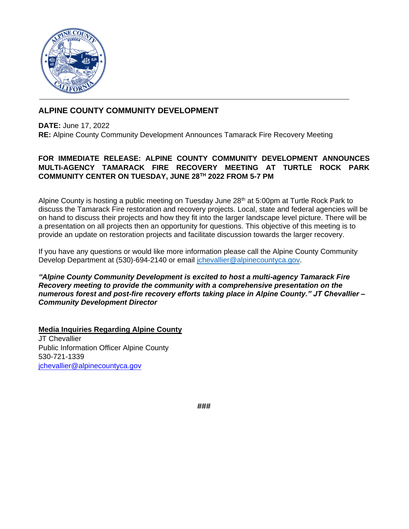

## **ALPINE COUNTY COMMUNITY DEVELOPMENT**

**DATE:** June 17, 2022 **RE:** Alpine County Community Development Announces Tamarack Fire Recovery Meeting

## **FOR IMMEDIATE RELEASE: ALPINE COUNTY COMMUNITY DEVELOPMENT ANNOUNCES MULTI-AGENCY TAMARACK FIRE RECOVERY MEETING AT TURTLE ROCK PARK COMMUNITY CENTER ON TUESDAY, JUNE 28 TH 2022 FROM 5-7 PM**

Alpine County is hosting a public meeting on Tuesday June  $28<sup>th</sup>$  at 5:00pm at Turtle Rock Park to discuss the Tamarack Fire restoration and recovery projects. Local, state and federal agencies will be on hand to discuss their projects and how they fit into the larger landscape level picture. There will be a presentation on all projects then an opportunity for questions. This objective of this meeting is to provide an update on restoration projects and facilitate discussion towards the larger recovery.

If you have any questions or would like more information please call the Alpine County Community Develop Department at (530)-694-2140 or email [jchevallier@alpinecountyca.gov.](mailto:jchevallier@alpinecountyca.gov)

*"Alpine County Community Development is excited to host a multi-agency Tamarack Fire Recovery meeting to provide the community with a comprehensive presentation on the numerous forest and post-fire recovery efforts taking place in Alpine County." JT Chevallier – Community Development Director* 

**Media Inquiries Regarding Alpine County** JT Chevallier Public Information Officer Alpine County 530-721-1339 [jchevallier@alpinecountyca.gov](mailto:jchevallier@alpinecountyca.gov)

**###**